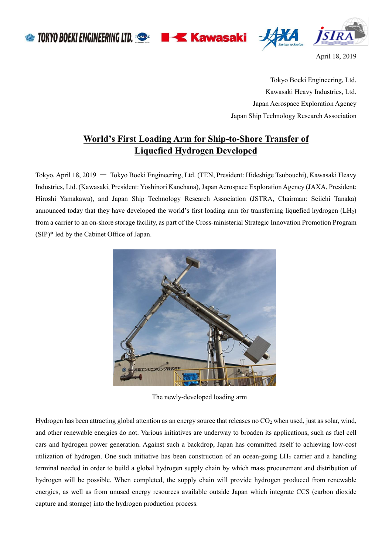**TOKYO BOEKI ENGINEERING LTD. TOOS BIKE Kawasaki** 





April 18, 2019

Tokyo Boeki Engineering, Ltd. Kawasaki Heavy Industries, Ltd. Japan Aerospace Exploration Agency Japan Ship Technology Research Association

## **World's First Loading Arm for Ship-to-Shore Transfer of Liquefied Hydrogen Developed**

Tokyo, April 18, 2019 ― Tokyo Boeki Engineering, Ltd. (TEN, President: Hideshige Tsubouchi), Kawasaki Heavy Industries, Ltd. (Kawasaki, President: Yoshinori Kanehana), Japan Aerospace Exploration Agency (JAXA, President: Hiroshi Yamakawa), and Japan Ship Technology Research Association (JSTRA, Chairman: Seiichi Tanaka) announced today that they have developed the world's first loading arm for transferring liquefied hydrogen (LH2) from a carrier to an on-shore storage facility, as part of the Cross-ministerial Strategic Innovation Promotion Program (SIP)\* led by the Cabinet Office of Japan.



The newly-developed loading arm

Hydrogen has been attracting global attention as an energy source that releases no  $CO<sub>2</sub>$  when used, just as solar, wind, and other renewable energies do not. Various initiatives are underway to broaden its applications, such as fuel cell cars and hydrogen power generation. Against such a backdrop, Japan has committed itself to achieving low-cost utilization of hydrogen. One such initiative has been construction of an ocean-going  $LH_2$  carrier and a handling terminal needed in order to build a global hydrogen supply chain by which mass procurement and distribution of hydrogen will be possible. When completed, the supply chain will provide hydrogen produced from renewable energies, as well as from unused energy resources available outside Japan which integrate CCS (carbon dioxide capture and storage) into the hydrogen production process.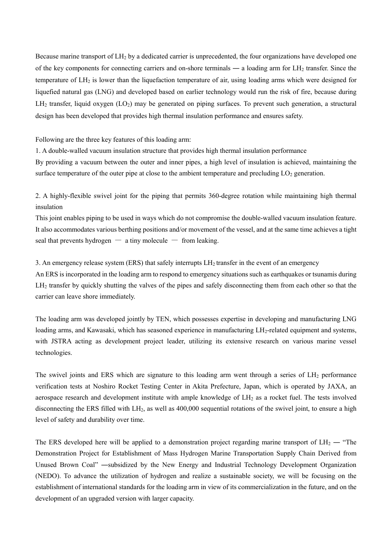Because marine transport of LH<sup>2</sup> by a dedicated carrier is unprecedented, the four organizations have developed one of the key components for connecting carriers and on-shore terminals ― a loading arm for LH<sup>2</sup> transfer. Since the temperature of LH<sup>2</sup> is lower than the liquefaction temperature of air, using loading arms which were designed for liquefied natural gas (LNG) and developed based on earlier technology would run the risk of fire, because during  $LH_2$  transfer, liquid oxygen ( $LO_2$ ) may be generated on piping surfaces. To prevent such generation, a structural design has been developed that provides high thermal insulation performance and ensures safety.

Following are the three key features of this loading arm:

1. A double-walled vacuum insulation structure that provides high thermal insulation performance

By providing a vacuum between the outer and inner pipes, a high level of insulation is achieved, maintaining the surface temperature of the outer pipe at close to the ambient temperature and precluding  $LO<sub>2</sub>$  generation.

2. A highly-flexible swivel joint for the piping that permits 360-degree rotation while maintaining high thermal insulation

This joint enables piping to be used in ways which do not compromise the double-walled vacuum insulation feature. It also accommodates various berthing positions and/or movement of the vessel, and at the same time achieves a tight seal that prevents hydrogen  $-$  a tiny molecule  $-$  from leaking.

3. An emergency release system (ERS) that safely interrupts LH<sup>2</sup> transfer in the event of an emergency An ERS is incorporated in the loading arm to respond to emergency situations such as earthquakes or tsunamis during LH<sub>2</sub> transfer by quickly shutting the valves of the pipes and safely disconnecting them from each other so that the carrier can leave shore immediately.

The loading arm was developed jointly by TEN, which possesses expertise in developing and manufacturing LNG loading arms, and Kawasaki, which has seasoned experience in manufacturing LH<sub>2</sub>-related equipment and systems, with JSTRA acting as development project leader, utilizing its extensive research on various marine vessel technologies.

The swivel joints and ERS which are signature to this loading arm went through a series of LH<sub>2</sub> performance verification tests at Noshiro Rocket Testing Center in Akita Prefecture, Japan, which is operated by JAXA, an aerospace research and development institute with ample knowledge of LH<sup>2</sup> as a rocket fuel. The tests involved disconnecting the ERS filled with  $L_{12}$ , as well as 400,000 sequential rotations of the swivel joint, to ensure a high level of safety and durability over time.

The ERS developed here will be applied to a demonstration project regarding marine transport of  $LH_2$  — "The Demonstration Project for Establishment of Mass Hydrogen Marine Transportation Supply Chain Derived from Unused Brown Coal" ―subsidized by the New Energy and Industrial Technology Development Organization (NEDO). To advance the utilization of hydrogen and realize a sustainable society, we will be focusing on the establishment of international standards for the loading arm in view of its commercialization in the future, and on the development of an upgraded version with larger capacity.